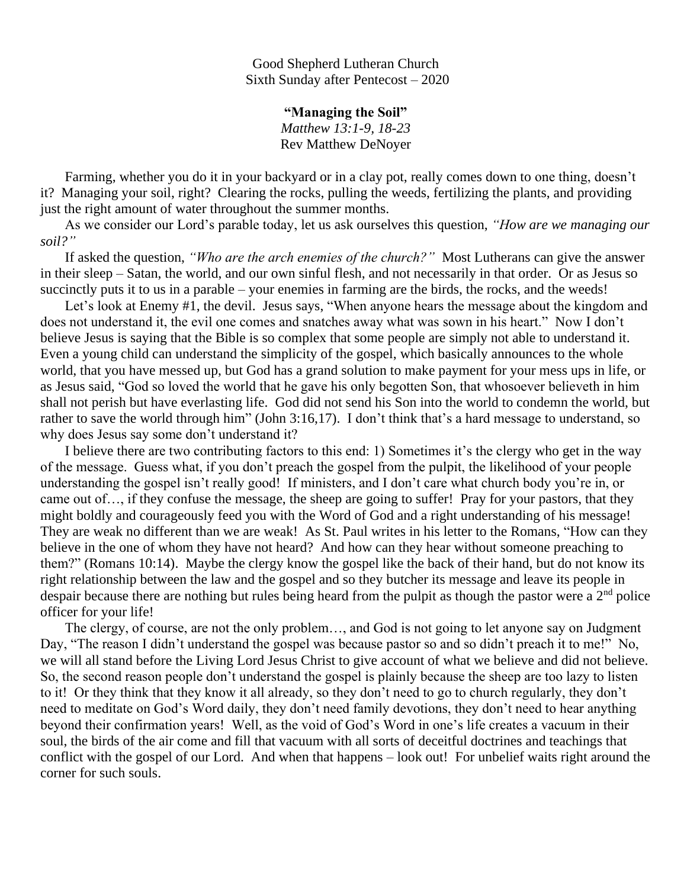Good Shepherd Lutheran Church Sixth Sunday after Pentecost – 2020

> **"Managing the Soil"** *Matthew 13:1-9, 18-23* Rev Matthew DeNoyer

 Farming, whether you do it in your backyard or in a clay pot, really comes down to one thing, doesn't it? Managing your soil, right? Clearing the rocks, pulling the weeds, fertilizing the plants, and providing just the right amount of water throughout the summer months.

 As we consider our Lord's parable today, let us ask ourselves this question, *"How are we managing our soil?"*

 If asked the question, *"Who are the arch enemies of the church?"* Most Lutherans can give the answer in their sleep – Satan, the world, and our own sinful flesh, and not necessarily in that order. Or as Jesus so succinctly puts it to us in a parable – your enemies in farming are the birds, the rocks, and the weeds!

Let's look at Enemy #1, the devil. Jesus says, "When anyone hears the message about the kingdom and does not understand it, the evil one comes and snatches away what was sown in his heart." Now I don't believe Jesus is saying that the Bible is so complex that some people are simply not able to understand it. Even a young child can understand the simplicity of the gospel, which basically announces to the whole world, that you have messed up, but God has a grand solution to make payment for your mess ups in life, or as Jesus said, "God so loved the world that he gave his only begotten Son, that whosoever believeth in him shall not perish but have everlasting life. God did not send his Son into the world to condemn the world, but rather to save the world through him" (John 3:16,17). I don't think that's a hard message to understand, so why does Jesus say some don't understand it?

 I believe there are two contributing factors to this end: 1) Sometimes it's the clergy who get in the way of the message. Guess what, if you don't preach the gospel from the pulpit, the likelihood of your people understanding the gospel isn't really good! If ministers, and I don't care what church body you're in, or came out of…, if they confuse the message, the sheep are going to suffer! Pray for your pastors, that they might boldly and courageously feed you with the Word of God and a right understanding of his message! They are weak no different than we are weak! As St. Paul writes in his letter to the Romans, "How can they believe in the one of whom they have not heard? And how can they hear without someone preaching to them?" (Romans 10:14). Maybe the clergy know the gospel like the back of their hand, but do not know its right relationship between the law and the gospel and so they butcher its message and leave its people in despair because there are nothing but rules being heard from the pulpit as though the pastor were a  $2<sup>nd</sup>$  police officer for your life!

 The clergy, of course, are not the only problem…, and God is not going to let anyone say on Judgment Day, "The reason I didn't understand the gospel was because pastor so and so didn't preach it to me!" No, we will all stand before the Living Lord Jesus Christ to give account of what we believe and did not believe. So, the second reason people don't understand the gospel is plainly because the sheep are too lazy to listen to it! Or they think that they know it all already, so they don't need to go to church regularly, they don't need to meditate on God's Word daily, they don't need family devotions, they don't need to hear anything beyond their confirmation years! Well, as the void of God's Word in one's life creates a vacuum in their soul, the birds of the air come and fill that vacuum with all sorts of deceitful doctrines and teachings that conflict with the gospel of our Lord. And when that happens – look out! For unbelief waits right around the corner for such souls.